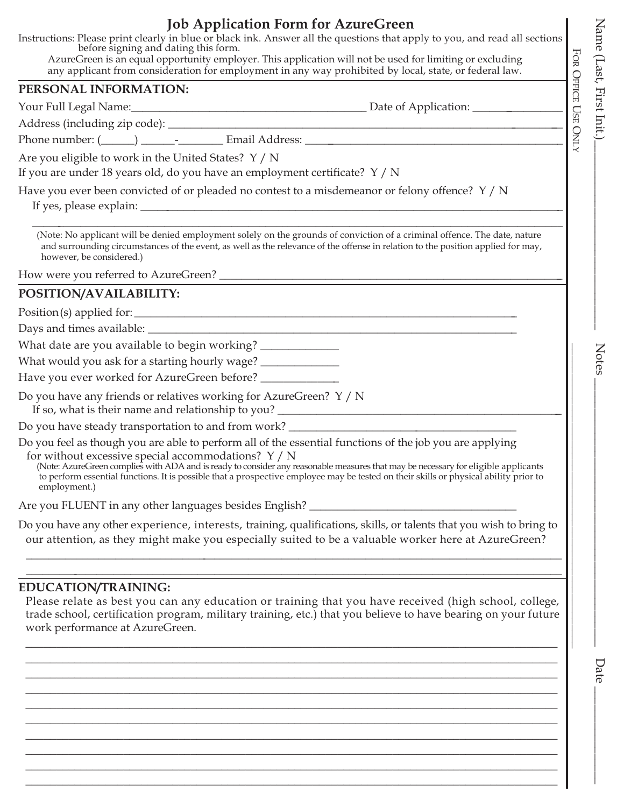# **Job Application Form for AzureGreen**

Instructions: Please print clearly in blue or black ink. Answer all the questions that apply to you, and read all sections before signing and dating this form.

AzureGreen is an equal opportunity employer. This application will not be used for limiting or excluding any applicant from consideration for employment in any way prohibited by local, state, or federal law.

#### **PERSONAL INFORMATION:**

Your Full Legal Name:\_\_\_\_\_\_\_\_\_\_\_\_\_\_\_\_\_\_\_\_\_\_\_\_\_\_\_\_\_\_\_\_\_\_\_\_\_\_\_\_\_\_ Date of Application: \_\_\_\_\_\_\_\_\_\_\_\_\_\_\_\_

Address (including zip code): \_\_\_\_\_\_\_\_\_\_\_\_\_\_\_\_\_\_\_\_\_\_\_\_\_\_\_\_\_\_\_\_\_\_\_\_\_\_\_\_\_\_\_\_\_\_\_\_\_\_\_\_\_\_\_\_\_\_\_\_\_\_\_\_\_\_\_\_\_\_\_

Phone number: (\_\_\_\_\_\_) \_\_\_\_\_\_\_\_\_\_\_\_\_\_\_\_\_\_ Email Address: \_\_\_\_\_\_\_\_\_\_\_\_\_\_\_\_\_\_\_\_\_\_\_

Are you eligible to work in the United States? Y / N

If you are under 18 years old, do you have an employment certificate? Y / N

Have you ever been convicted of or pleaded no contest to a misdemeanor or felony offence? Y / N

If yes, please explain:

\_\_\_\_\_\_\_\_\_\_\_\_\_\_\_\_\_\_\_\_\_\_\_\_\_\_\_\_\_\_\_\_\_\_\_\_\_\_\_\_\_\_\_\_\_\_\_\_\_\_\_\_\_\_\_\_\_\_\_\_\_\_\_\_\_\_\_\_\_\_\_\_\_\_\_\_\_\_\_\_\_\_\_\_\_\_\_\_\_\_\_\_\_\_\_ (Note: No applicant will be denied employment solely on the grounds of conviction of a criminal offence. The date, nature and surrounding circumstances of the event, as well as the relevance of the offense in relation to the position applied for may, however, be considered.)

How were you referred to AzureGreen? \_\_\_\_\_\_\_\_\_\_\_\_\_\_\_\_\_\_\_\_\_\_\_\_\_\_\_\_\_\_\_\_\_\_\_\_\_\_\_\_\_\_\_\_\_\_\_\_\_\_\_\_\_\_\_\_\_\_\_\_\_\_

# **POSITION/AVAILABILITY:**

Position(s) applied for: \_\_\_\_\_\_\_\_\_\_\_\_\_\_\_\_\_\_\_\_\_\_\_\_\_\_\_\_\_\_\_\_\_\_\_\_\_\_\_\_\_\_\_\_\_\_\_\_\_\_\_\_\_\_\_\_\_\_\_\_\_\_\_\_\_\_\_\_\_

Days and times available: \_\_\_\_\_\_\_\_\_\_\_\_\_\_\_\_\_\_\_\_\_\_\_\_\_\_\_\_\_\_\_\_\_\_\_\_\_\_\_\_\_\_\_\_\_\_\_\_\_\_\_\_\_\_\_\_\_\_\_\_\_\_\_\_\_\_

What date are you available to begin working? \_\_\_\_\_\_\_\_\_\_\_\_\_\_\_\_\_\_\_\_\_\_\_\_\_\_\_\_\_\_\_\_\_\_

What would you ask for a starting hourly wage? \_\_\_\_\_\_\_\_\_\_\_\_\_\_\_\_\_\_\_\_\_\_\_\_\_\_\_\_\_\_\_\_\_

Have you ever worked for AzureGreen before? \_\_\_\_\_\_\_\_\_\_\_

Do you have any friends or relatives working for AzureGreen? Y / N

If so, what is their name and relationship to you?

Do you have steady transportation to and from work?

Do you feel as though you are able to perform all of the essential functions of the job you are applying for without excessive special accommodations? Y / N

(Note: AzureGreen complies with ADA and is ready to consider any reasonable measures that may be necessary for eligible applicants to perform essential functions. It is possible that a prospective employee may be tested on their skills or physical ability prior to employment.)

Are you FLUENT in any other languages besides English?

Do you have any other experience, interests, training, qualifications, skills, or talents that you wish to bring to our attention, as they might make you especially suited to be a valuable worker here at AzureGreen?

\_\_\_\_\_\_\_\_\_\_\_\_\_\_\_\_\_\_\_\_\_\_\_\_\_\_\_\_\_\_\_\_\_\_\_\_\_\_\_\_\_\_\_\_\_\_\_\_\_\_\_\_\_\_\_\_\_\_\_\_\_\_\_\_\_\_\_\_\_\_\_\_\_\_\_\_\_\_\_\_\_\_\_\_\_\_\_\_\_\_\_\_\_\_\_\_ \_\_\_\_\_\_\_\_\_\_\_\_\_\_\_\_\_\_\_\_\_\_\_\_\_\_\_\_\_\_\_\_\_\_\_\_\_\_\_\_\_\_\_\_\_\_\_\_\_\_\_\_\_\_\_\_\_\_\_\_\_\_\_\_\_\_\_\_\_\_\_\_\_\_\_\_\_\_\_\_\_\_\_\_\_\_\_\_\_\_\_\_\_\_\_\_

## **EDUCATION/TRAINING:**

Please relate as best you can any education or training that you have received (high school, college, trade school, certification program, military training, etc.) that you believe to have bearing on your future work performance at AzureGreen.

\_\_\_\_\_\_\_\_\_\_\_\_\_\_\_\_\_\_\_\_\_\_\_\_\_\_\_\_\_\_\_\_\_\_\_\_\_\_\_\_\_\_\_\_\_\_\_\_\_\_\_\_\_\_\_\_\_\_\_\_\_\_\_\_\_\_\_\_\_\_\_\_\_\_\_\_\_\_\_\_\_\_\_\_\_\_\_ \_\_\_\_\_\_\_\_\_\_\_\_\_\_\_\_\_\_\_\_\_\_\_\_\_\_\_\_\_\_\_\_\_\_\_\_\_\_\_\_\_\_\_\_\_\_\_\_\_\_\_\_\_\_\_\_\_\_\_\_\_\_\_\_\_\_\_\_\_\_\_\_\_\_\_\_\_\_\_\_\_\_\_\_\_\_\_ \_\_\_\_\_\_\_\_\_\_\_\_\_\_\_\_\_\_\_\_\_\_\_\_\_\_\_\_\_\_\_\_\_\_\_\_\_\_\_\_\_\_\_\_\_\_\_\_\_\_\_\_\_\_\_\_\_\_\_\_\_\_\_\_\_\_\_\_\_\_\_\_\_\_\_\_\_\_\_\_\_\_\_\_\_\_\_ \_\_\_\_\_\_\_\_\_\_\_\_\_\_\_\_\_\_\_\_\_\_\_\_\_\_\_\_\_\_\_\_\_\_\_\_\_\_\_\_\_\_\_\_\_\_\_\_\_\_\_\_\_\_\_\_\_\_\_\_\_\_\_\_\_\_\_\_\_\_\_\_\_\_\_\_\_\_\_\_\_\_\_\_\_\_\_ \_\_\_\_\_\_\_\_\_\_\_\_\_\_\_\_\_\_\_\_\_\_\_\_\_\_\_\_\_\_\_\_\_\_\_\_\_\_\_\_\_\_\_\_\_\_\_\_\_\_\_\_\_\_\_\_\_\_\_\_\_\_\_\_\_\_\_\_\_\_\_\_\_\_\_\_\_\_\_\_\_\_\_\_\_\_\_ \_\_\_\_\_\_\_\_\_\_\_\_\_\_\_\_\_\_\_\_\_\_\_\_\_\_\_\_\_\_\_\_\_\_\_\_\_\_\_\_\_\_\_\_\_\_\_\_\_\_\_\_\_\_\_\_\_\_\_\_\_\_\_\_\_\_\_\_\_\_\_\_\_\_\_\_\_\_\_\_\_\_\_\_\_\_\_ \_\_\_\_\_\_\_\_\_\_\_\_\_\_\_\_\_\_\_\_\_\_\_\_\_\_\_\_\_\_\_\_\_\_\_\_\_\_\_\_\_\_\_\_\_\_\_\_\_\_\_\_\_\_\_\_\_\_\_\_\_\_\_\_\_\_\_\_\_\_\_\_\_\_\_\_\_\_\_\_\_\_\_\_\_\_\_ \_\_\_\_\_\_\_\_\_\_\_\_\_\_\_\_\_\_\_\_\_\_\_\_\_\_\_\_\_\_\_\_\_\_\_\_\_\_\_\_\_\_\_\_\_\_\_\_\_\_\_\_\_\_\_\_\_\_\_\_\_\_\_\_\_\_\_\_\_\_\_\_\_\_\_\_\_\_\_\_\_\_\_\_\_\_\_ \_\_\_\_\_\_\_\_\_\_\_\_\_\_\_\_\_\_\_\_\_\_\_\_\_\_\_\_\_\_\_\_\_\_\_\_\_\_\_\_\_\_\_\_\_\_\_\_\_\_\_\_\_\_\_\_\_\_\_\_\_\_\_\_\_\_\_\_\_\_\_\_\_\_\_\_\_\_\_\_\_\_\_\_\_\_\_ \_\_\_\_\_\_\_\_\_\_\_\_\_\_\_\_\_\_\_\_\_\_\_\_\_\_\_\_\_\_\_\_\_\_\_\_\_\_\_\_\_\_\_\_\_\_\_\_\_\_\_\_\_\_\_\_\_\_\_\_\_\_\_\_\_\_\_\_\_\_\_\_\_\_\_\_\_\_\_\_\_\_\_\_\_\_\_ FOR

OFFICE

USE

ONLY

 $\mathcal{L}_\text{max}$  and the contract of the contract of the contract of the contract of the contract of the contract of the contract of the contract of the contract of the contract of the contract of the contract of the contrac